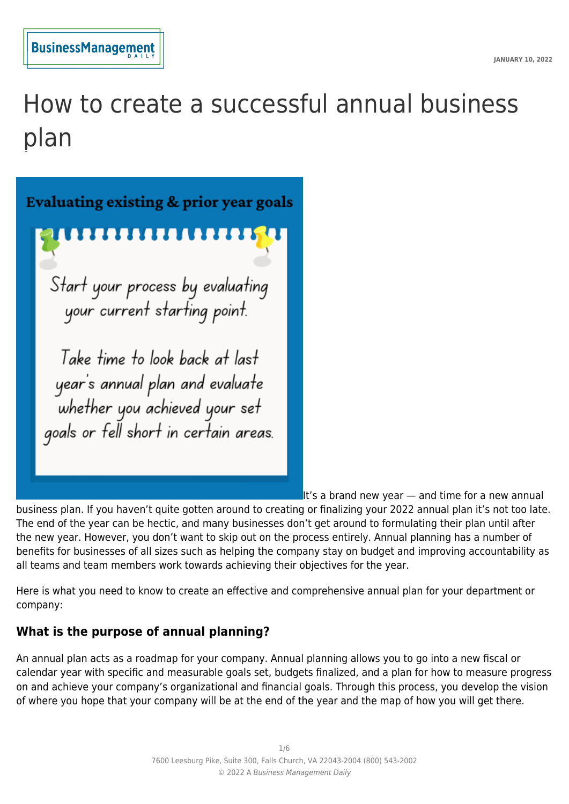

# How to create a successful annual business plan



It's a brand new year  $-$  and time for a new annual

business plan. If you haven't quite gotten around to creating or finalizing your 2022 annual plan it's not too late. The end of the year can be hectic, and many businesses don't get around to formulating their plan until after the new year. However, you don't want to skip out on the process entirely. Annual planning has a number of benefits for businesses of all sizes such as helping the company stay on budget and improving accountability as all teams and team members work towards achieving their objectives for the year.

Here is what you need to know to create an effective and comprehensive annual plan for your department or company:

# **What is the purpose of annual planning?**

An annual plan acts as a roadmap for your company. Annual planning allows you to go into a new fiscal or calendar year with specific and measurable goals set, budgets finalized, and a plan for how to measure progress on and achieve your company's organizational and financial goals. Through this process, you develop the vision of where you hope that your company will be at the end of the year and the map of how you will get there.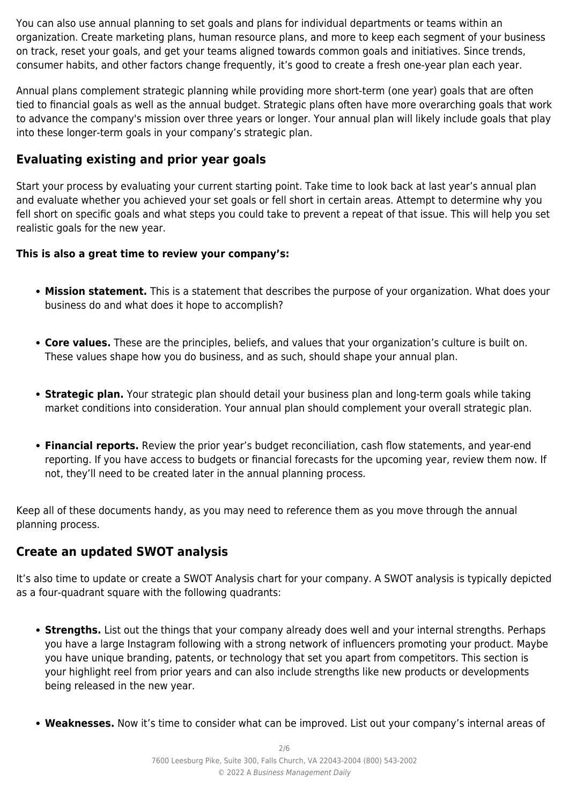You can also use annual planning to set goals and plans for individual departments or teams within an organization. Create marketing plans, human resource plans, and more to keep each segment of your business on track, reset your goals, and get your teams aligned towards common goals and initiatives. Since trends, consumer habits, and other factors change frequently, it's good to create a fresh one-year plan each year.

Annual plans complement strategic planning while providing more short-term (one year) goals that are often tied to financial goals as well as the annual budget. Strategic plans often have more overarching goals that work to advance the company's mission over three years or longer. Your annual plan will likely include goals that play into these longer-term goals in your company's strategic plan.

#### **Evaluating existing and prior year goals**

Start your process by evaluating your current starting point. Take time to look back at last year's annual plan and evaluate whether you achieved your set goals or fell short in certain areas. Attempt to determine why you fell short on specific goals and what steps you could take to prevent a repeat of that issue. This will help you set realistic goals for the new year.

#### **This is also a great time to review your company's:**

- **Mission statement.** This is a statement that describes the purpose of your organization. What does your business do and what does it hope to accomplish?
- **Core values.** These are the principles, beliefs, and values that your organization's culture is built on. These values shape how you do business, and as such, should shape your annual plan.
- **Strategic plan.** Your strategic plan should detail your business plan and long-term goals while taking market conditions into consideration. Your annual plan should complement your overall strategic plan.
- **Financial reports.** Review the prior year's budget reconciliation, cash flow statements, and year-end reporting. If you have access to budgets or financial forecasts for the upcoming year, review them now. If not, they'll need to be created later in the annual planning process.

Keep all of these documents handy, as you may need to reference them as you move through the annual planning process.

#### **Create an updated SWOT analysis**

It's also time to update or create a SWOT Analysis chart for your company. A SWOT analysis is typically depicted as a four-quadrant square with the following quadrants:

- **Strengths.** List out the things that your company already does well and your internal strengths. Perhaps you have a large Instagram following with a strong network of influencers promoting your product. Maybe you have unique branding, patents, or technology that set you apart from competitors. This section is your highlight reel from prior years and can also include strengths like new products or developments being released in the new year.
- **Weaknesses.** Now it's time to consider what can be improved. List out your company's internal areas of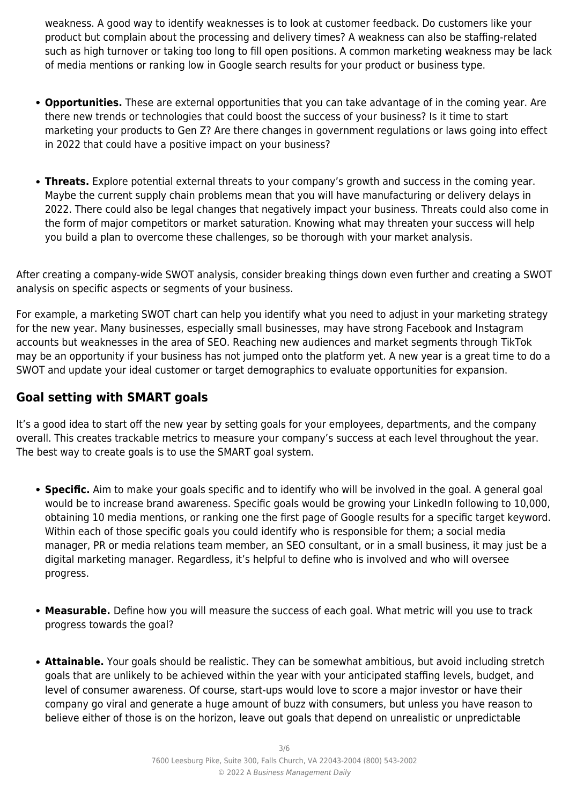weakness. A good way to identify weaknesses is to look at customer feedback. Do customers like your product but complain about the processing and delivery times? A weakness can also be staffing-related such as high turnover or taking too long to fill open positions. A common marketing weakness may be lack of media mentions or ranking low in Google search results for your product or business type.

- **Opportunities.** These are external opportunities that you can take advantage of in the coming year. Are there new trends or technologies that could boost the success of your business? Is it time to start marketing your products to Gen Z? Are there changes in government regulations or laws going into effect in 2022 that could have a positive impact on your business?
- **Threats.** Explore potential external threats to your company's growth and success in the coming year. Maybe the current supply chain problems mean that you will have manufacturing or delivery delays in 2022. There could also be legal changes that negatively impact your business. Threats could also come in the form of major competitors or market saturation. Knowing what may threaten your success will help you build a plan to overcome these challenges, so be thorough with your market analysis.

After creating a company-wide SWOT analysis, consider breaking things down even further and creating a SWOT analysis on specific aspects or segments of your business.

For example, a marketing SWOT chart can help you identify what you need to adjust in your marketing strategy for the new year. Many businesses, especially small businesses, may have strong Facebook and Instagram accounts but weaknesses in the area of SEO. Reaching new audiences and market segments through TikTok may be an opportunity if your business has not jumped onto the platform yet. A new year is a great time to do a SWOT and update your ideal customer or target demographics to evaluate opportunities for expansion.

# **Goal setting with SMART goals**

It's a good idea to start off the new year by setting goals for your employees, departments, and the company overall. This creates trackable metrics to measure your company's success at each level throughout the year. The best way to create goals is to use the SMART goal system.

- **Specific.** Aim to make your goals specific and to identify who will be involved in the goal. A general goal would be to increase brand awareness. Specific goals would be growing your LinkedIn following to 10,000, obtaining 10 media mentions, or ranking one the first page of Google results for a specific target keyword. Within each of those specific goals you could identify who is responsible for them; a social media manager, PR or media relations team member, an SEO consultant, or in a small business, it may just be a digital marketing manager. Regardless, it's helpful to define who is involved and who will oversee progress.
- **Measurable.** Define how you will measure the success of each goal. What metric will you use to track progress towards the goal?
- **Attainable.** Your goals should be realistic. They can be somewhat ambitious, but avoid including stretch goals that are unlikely to be achieved within the year with your anticipated staffing levels, budget, and level of consumer awareness. Of course, start-ups would love to score a major investor or have their company go viral and generate a huge amount of buzz with consumers, but unless you have reason to believe either of those is on the horizon, leave out goals that depend on unrealistic or unpredictable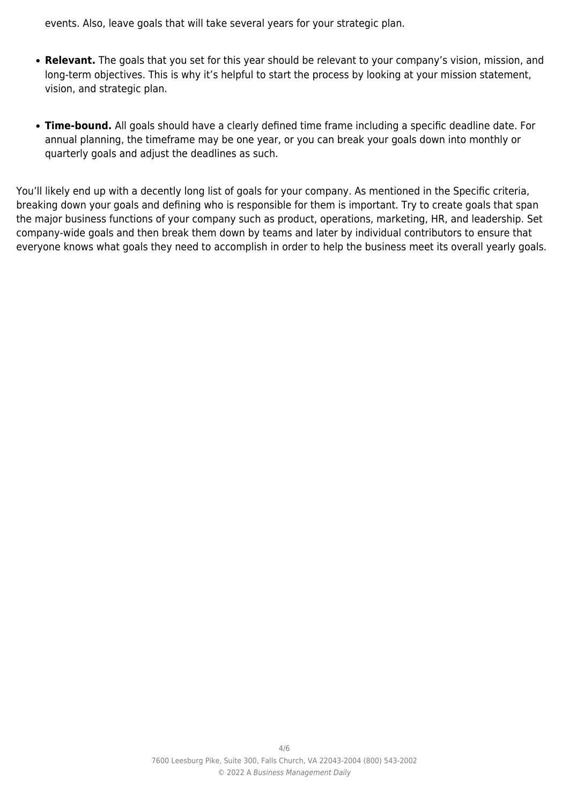events. Also, leave goals that will take several years for your strategic plan.

- **Relevant.** The goals that you set for this year should be relevant to your company's vision, mission, and long-term objectives. This is why it's helpful to start the process by looking at your mission statement, vision, and strategic plan.
- **Time-bound.** All goals should have a clearly defined time frame including a specific deadline date. For annual planning, the timeframe may be one year, or you can break your goals down into monthly or quarterly goals and adjust the deadlines as such.

You'll likely end up with a decently long list of goals for your company. As mentioned in the Specific criteria, breaking down your goals and defining who is responsible for them is important. Try to create goals that span the major business functions of your company such as product, operations, marketing, HR, and leadership. Set company-wide goals and then break them down by teams and later by individual contributors to ensure that everyone knows what goals they need to accomplish in order to help the business meet its overall yearly goals.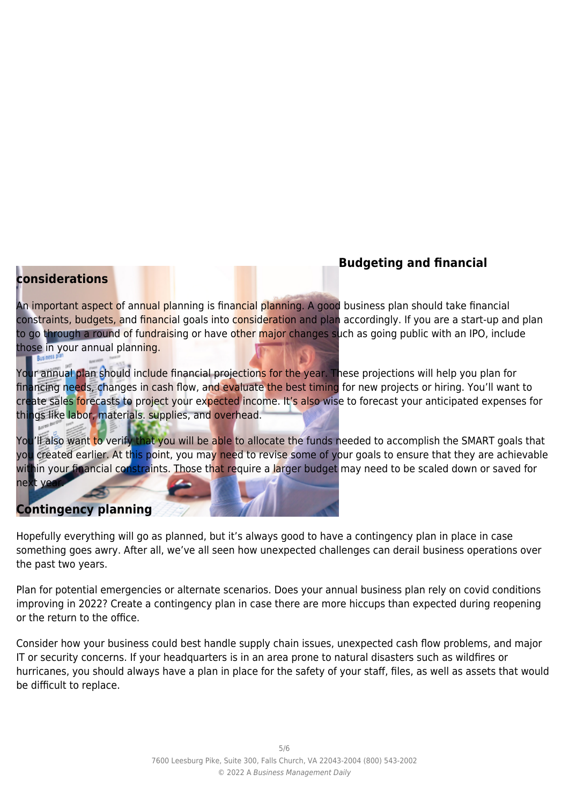# **Budgeting and financial**

#### **considerations**

An important aspect of annual planning is financial planning. A good business plan should take financial constraints, budgets, and financial goals into consideration and plan accordingly. If you are a start-up and plan to go through a round of fundraising or have other major changes such as going public with an IPO, include those in your annual planning.

Your annual plan should include financial projections for the year. These projections will help you plan for financing needs, changes in cash flow, and evaluate the best timing for new projects or hiring. You'll want to create sales forecasts to project your expected income. It's also wise to forecast your anticipated expenses for things like labor, materials. supplies, and overhead.

You'll also want to verify that you will be able to allocate the funds needed to accomplish the SMART goals that you created earlier. At this point, you may need to revise some of your goals to ensure that they are achievable within your financial constraints. Those that require a larger budget may need to be scaled down or saved for next yea

# **Contingency planning**

Hopefully everything will go as planned, but it's always good to have a contingency plan in place in case something goes awry. After all, we've all seen how unexpected challenges can derail business operations over the past two years.

Plan for potential emergencies or alternate scenarios. Does your annual business plan rely on covid conditions improving in 2022? Create a contingency plan in case there are more hiccups than expected during reopening or the return to the office.

Consider how your business could best handle supply chain issues, unexpected cash flow problems, and major IT or security concerns. If your headquarters is in an area prone to natural disasters such as wildfires or hurricanes, you should always have a plan in place for the safety of your staff, files, as well as assets that would be difficult to replace.